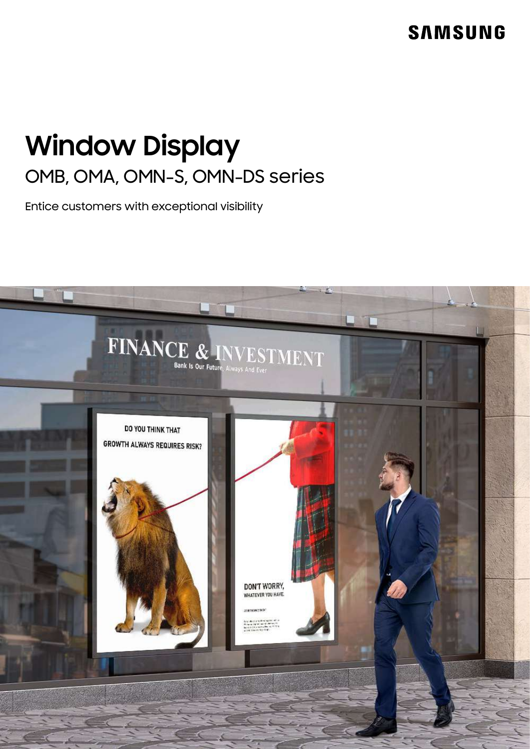# **SAMSUNG**

# **Window Display** OMB, OMA, OMN-S, OMN-DS series

Entice customers with exceptional visibility

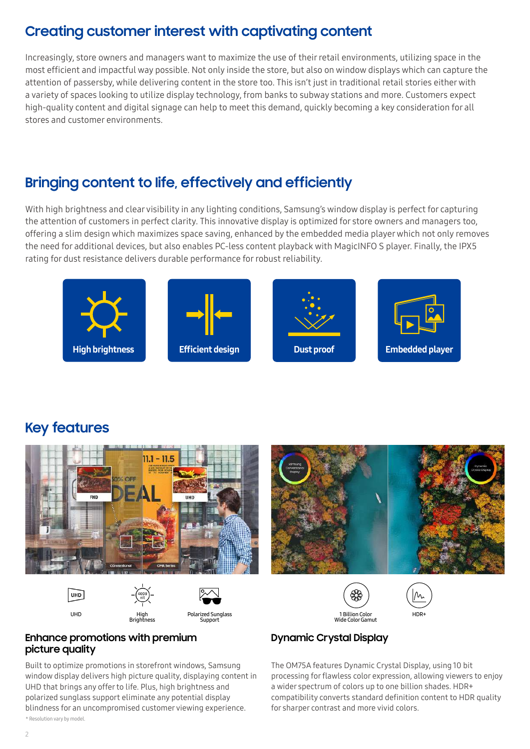### **Creating customer interest with captivating content**

Increasingly, store owners and managers want to maximize the use of their retail environments, utilizing space in the most efficient and impactful way possible. Not only inside the store, but also on window displays which can capture the attention of passersby, while delivering content in the store too. This isn't just in traditional retail stories either with a variety of spaces looking to utilize display technology, from banks to subway stations and more. Customers expect high-quality content and digital signage can help to meet this demand, quickly becoming a key consideration for all stores and customer environments.

### **Bringing content to life, effectively and efficiently**

With high brightness and clear visibility in any lighting conditions, Samsung's window display is perfect for capturing the attention of customers in perfect clarity. This innovative display is optimized for store owners and managers too, offering a slim design which maximizes space saving, enhanced by the embedded media player which not only removes the need for additional devices, but also enables PC-less content playback with MagicINFO S player. Finally, the IPX5 rating for dust resistance delivers durable performance for robust reliability.



### **Key features**



#### **Enhance promotions with premium picture quality**

Built to optimize promotions in storefront windows, Samsung window display delivers high picture quality, displaying content in UHD that brings any offer to life. Plus, high brightness and polarized sunglass support eliminate any potential display blindness for an uncompromised customer viewing experience. \* Resolution vary by model.

### **Dynamic Crystal Display**

The OM75A features Dynamic Crystal Display, using 10 bit processing for flawless color expression, allowing viewers to enjoy a wider spectrum of colors up to one billion shades. HDR+ compatibility converts standard definition content to HDR quality for sharper contrast and more vivid colors.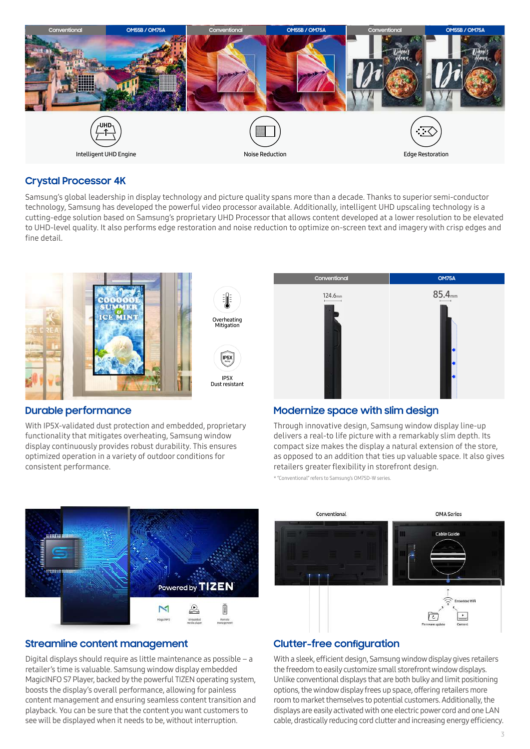

#### **Crystal Processor 4K**

Samsung's global leadership in display technology and picture quality spans more than a decade. Thanks to superior semi-conductor technology, Samsung has developed the powerful video processor available. Additionally, intelligent UHD upscaling technology is a cutting-edge solution based on Samsung's proprietary UHD Processor that allows content developed at a lower resolution to be elevated to UHD-level quality. It also performs edge restoration and noise reduction to optimize on-screen text and imagery with crisp edges and fine detail.



#### **Durable performance**

With IP5X-validated dust protection and embedded, proprietary functionality that mitigates overheating, Samsung window display continuously provides robust durability. This ensures optimized operation in a variety of outdoor conditions for consistent performance.



#### **Modernize space with slim design**

Through innovative design, Samsung window display line-up delivers a real-to life picture with a remarkably slim depth. Its compact size makes the display a natural extension of the store, as opposed to an addition that ties up valuable space. It also gives retailers greater flexibility in storefront design.

\* "Conventional" refers to Samsung's OM75D-W series.



#### **Streamline content management**

Digital displays should require as little maintenance as possible – a retailer's time is valuable. Samsung window display embedded MagicINFO S7 Player, backed by the powerful TIZEN operating system, boosts the display's overall performance, allowing for painless content management and ensuring seamless content transition and playback. You can be sure that the content you want customers to see will be displayed when it needs to be, without interruption.



#### **Clutter-free configuration**

With a sleek, efficient design, Samsung window display gives retailers the freedom to easily customize small storefront window displays. Unlike conventional displays that are both bulky and limit positioning options, the window display frees up space, offering retailers more room to market themselves to potential customers. Additionally, the displays are easily activated with one electric power cord and one LAN cable, drastically reducing cord clutter and increasing energy efficiency.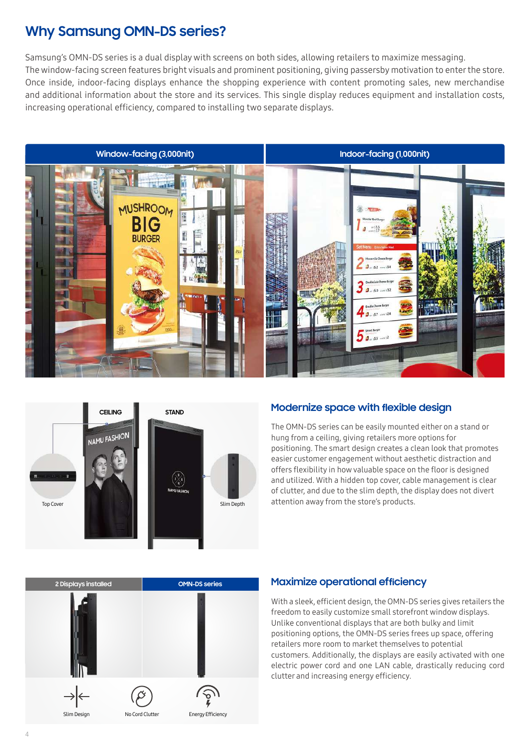### **Why Samsung OMN-DS series?**

Samsung's OMN-DS series is a dual display with screens on both sides, allowing retailers to maximize messaging. The window-facing screen features bright visuals and prominent positioning, giving passersby motivation to enter the store. Once inside, indoor-facing displays enhance the shopping experience with content promoting sales, new merchandise and additional information about the store and its services. This single display reduces equipment and installation costs, increasing operational efficiency, compared to installing two separate displays.





#### **Modernize space with flexible design**

The OMN-DS series can be easily mounted either on a stand or hung from a ceiling, giving retailers more options for positioning. The smart design creates a clean look that promotes easier customer engagement without aesthetic distraction and offers flexibility in how valuable space on the floor is designed and utilized. With a hidden top cover, cable management is clear of clutter, and due to the slim depth, the display does not divert attention away from the store's products.



#### **Maximize operational efficiency**

With a sleek, efficient design, the OMN-DS series gives retailers the freedom to easily customize small storefront window displays. Unlike conventional displays that are both bulky and limit positioning options, the OMN-DS series frees up space, offering retailers more room to market themselves to potential customers. Additionally, the displays are easily activated with one electric power cord and one LAN cable, drastically reducing cord clutter and increasing energy efficiency.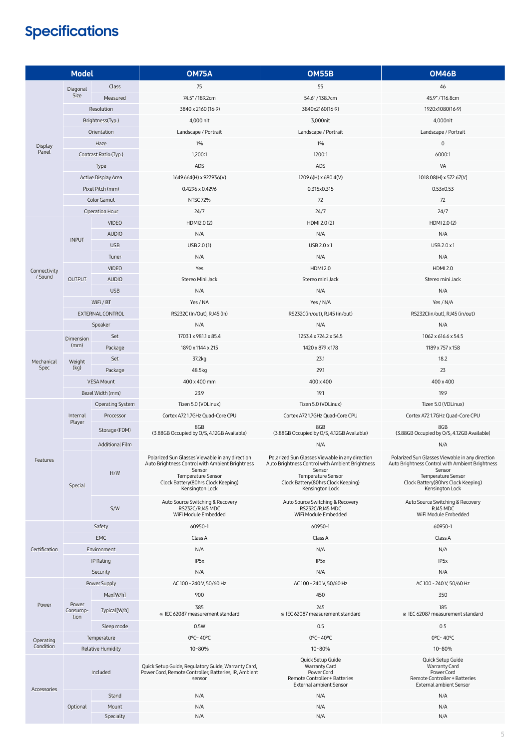# **Specifications**

| <b>Model</b>           |                           |                        | <b>OM75A</b>                                                                                                                                                                                | <b>OM55B</b>                                                                                                                                                                                | <b>OM46B</b>                                                                                                                                                                                |
|------------------------|---------------------------|------------------------|---------------------------------------------------------------------------------------------------------------------------------------------------------------------------------------------|---------------------------------------------------------------------------------------------------------------------------------------------------------------------------------------------|---------------------------------------------------------------------------------------------------------------------------------------------------------------------------------------------|
|                        | Diagonal                  | Class                  | 75                                                                                                                                                                                          | 55                                                                                                                                                                                          | 46                                                                                                                                                                                          |
| Display<br>Panel       | Size                      | Measured               | 74.5"/189.2cm                                                                                                                                                                               | 54.6"/138.7cm                                                                                                                                                                               | 45.9" / 116.8cm                                                                                                                                                                             |
|                        |                           | Resolution             | 3840 x 2160 (16:9)                                                                                                                                                                          | 3840x2160(16:9)                                                                                                                                                                             | 1920x1080(16:9)                                                                                                                                                                             |
|                        | Brightness(Typ.)          |                        | 4,000 nit                                                                                                                                                                                   | 3,000nit                                                                                                                                                                                    | 4,000nit                                                                                                                                                                                    |
|                        | Orientation               |                        | Landscape / Portrait                                                                                                                                                                        | Landscape / Portrait                                                                                                                                                                        | Landscape / Portrait                                                                                                                                                                        |
|                        | Haze                      |                        | 1%                                                                                                                                                                                          | 1%                                                                                                                                                                                          | $\mathsf{O}\xspace$                                                                                                                                                                         |
|                        | Contrast Ratio (Typ.)     |                        | 1,200:1                                                                                                                                                                                     | 1200:1                                                                                                                                                                                      | 6000:1                                                                                                                                                                                      |
|                        | Type                      |                        | ADS                                                                                                                                                                                         | ADS                                                                                                                                                                                         | VA                                                                                                                                                                                          |
|                        | Active Display Area       |                        | 1649.664(H) x 927.936(V)                                                                                                                                                                    | 1209.6(H) x 680.4(V)                                                                                                                                                                        | 1018.08(H) x 572.67(V)                                                                                                                                                                      |
|                        | Pixel Pitch (mm)          |                        | 0.4296 x 0.4296                                                                                                                                                                             | 0.315x0.315                                                                                                                                                                                 | 0.53x0.53                                                                                                                                                                                   |
|                        | Color Gamut               |                        | <b>NTSC 72%</b>                                                                                                                                                                             | 72                                                                                                                                                                                          | 72                                                                                                                                                                                          |
|                        | Operation Hour            |                        | 24/7                                                                                                                                                                                        | 24/7                                                                                                                                                                                        | 24/7                                                                                                                                                                                        |
|                        | <b>VIDEO</b>              |                        | HDMI2.0(2)                                                                                                                                                                                  | HDMI 2.0 (2)                                                                                                                                                                                | HDMI 2.0 (2)                                                                                                                                                                                |
|                        | <b>INPUT</b>              | <b>AUDIO</b>           | N/A                                                                                                                                                                                         | N/A                                                                                                                                                                                         | N/A                                                                                                                                                                                         |
|                        |                           | <b>USB</b>             | USB 2.0 (1)                                                                                                                                                                                 | USB 2.0 x 1                                                                                                                                                                                 | USB 2.0 x1                                                                                                                                                                                  |
|                        |                           | Tuner                  | N/A                                                                                                                                                                                         | N/A                                                                                                                                                                                         | N/A                                                                                                                                                                                         |
|                        |                           | <b>VIDEO</b>           | Yes                                                                                                                                                                                         | <b>HDMI 2.0</b>                                                                                                                                                                             | <b>HDMI 2.0</b>                                                                                                                                                                             |
| Connectivity<br>/Sound | <b>OUTPUT</b>             | <b>AUDIO</b>           | Stereo Mini Jack                                                                                                                                                                            | Stereo mini Jack                                                                                                                                                                            | Stereo mini Jack                                                                                                                                                                            |
|                        |                           | <b>USB</b>             | N/A                                                                                                                                                                                         | N/A                                                                                                                                                                                         | N/A                                                                                                                                                                                         |
|                        | WiFi / BT                 |                        | Yes / NA                                                                                                                                                                                    | Yes / N/A                                                                                                                                                                                   | Yes / N/A                                                                                                                                                                                   |
|                        |                           | EXTERNAL CONTROL       | RS232C (In/Out), RJ45 (In)                                                                                                                                                                  | RS232C(in/out), RJ45 (in/out)                                                                                                                                                               | RS232C(in/out), RJ45 (in/out)                                                                                                                                                               |
|                        |                           | Speaker                | N/A                                                                                                                                                                                         | N/A                                                                                                                                                                                         | N/A                                                                                                                                                                                         |
|                        |                           | Set                    | 1703.1 x 981.1 x 85.4                                                                                                                                                                       | 1253.4 x 724.2 x 54.5                                                                                                                                                                       | 1062 x 616.6 x 54.5                                                                                                                                                                         |
|                        | Dimension<br>(mm)         | Package                | 1890 x 1144 x 215                                                                                                                                                                           | 1420 x 879 x 178                                                                                                                                                                            | 1189 x 757 x 158                                                                                                                                                                            |
|                        |                           | Set                    | 37.2kg                                                                                                                                                                                      | 23.1                                                                                                                                                                                        | 18.2                                                                                                                                                                                        |
| Mechanical<br>Spec     | Weight<br>(kg)            | Package                | 48.5kg                                                                                                                                                                                      | 29.1                                                                                                                                                                                        | 23                                                                                                                                                                                          |
|                        |                           | <b>VESA Mount</b>      | 400 x 400 mm                                                                                                                                                                                | 400 x 400                                                                                                                                                                                   | 400 x 400                                                                                                                                                                                   |
|                        | Bezel Width (mm)          |                        | 23.9                                                                                                                                                                                        | 19.1                                                                                                                                                                                        | 19.9                                                                                                                                                                                        |
|                        | Operating System          |                        | Tizen 5.0 (VDLinux)                                                                                                                                                                         | Tizen 5.0 (VDLinux)                                                                                                                                                                         | Tizen 5.0 (VDLinux)                                                                                                                                                                         |
|                        | Internal<br>Player        | Processor              | Cortex A721.7GHz Quad-Core CPU                                                                                                                                                              | Cortex A721.7GHz Quad-Core CPU                                                                                                                                                              | Cortex A721.7GHz Quad-Core CPU                                                                                                                                                              |
|                        |                           |                        | 8GB                                                                                                                                                                                         | 8GB                                                                                                                                                                                         | 8GB                                                                                                                                                                                         |
|                        |                           | Storage (FDM)          | (3.88GB Occupied by O/S, 4.12GB Available)                                                                                                                                                  | (3.88GB Occupied by O/S, 4.12GB Available)                                                                                                                                                  | (3.88GB Occupied by O/S, 4.12GB Available)                                                                                                                                                  |
|                        |                           | <b>Additional Film</b> |                                                                                                                                                                                             | N/A                                                                                                                                                                                         | N/A                                                                                                                                                                                         |
| Features               | Special                   | H/W                    | Polarized Sun Glasses Viewable in any direction<br>Auto Brightness Control with Ambient Brightness<br>Sensor<br>Temperature Sensor<br>Clock Battery(80hrs Clock Keeping)<br>Kensington Lock | Polarized Sun Glasses Viewable in any direction<br>Auto Brightness Control with Ambient Brightness<br>Sensor<br>Temperature Sensor<br>Clock Battery(80hrs Clock Keeping)<br>Kensington Lock | Polarized Sun Glasses Viewable in any direction<br>Auto Brightness Control with Ambient Brightness<br>Sensor<br>Temperature Sensor<br>Clock Battery(80hrs Clock Keeping)<br>Kensington Lock |
|                        |                           | S/W                    | Auto Source Switching & Recovery<br>RS232C/RJ45 MDC<br>WiFi Module Embedded                                                                                                                 | Auto Source Switching & Recovery<br>RS232C/RJ45 MDC<br>WiFi Module Embedded                                                                                                                 | Auto Source Switching & Recovery<br>RJ45 MDC<br>WiFi Module Embedded                                                                                                                        |
|                        |                           | Safety                 | 60950-1                                                                                                                                                                                     | 60950-1                                                                                                                                                                                     | 60950-1                                                                                                                                                                                     |
|                        | <b>EMC</b>                |                        | Class A                                                                                                                                                                                     | Class A                                                                                                                                                                                     | Class A                                                                                                                                                                                     |
| Certification          | Environment               |                        | N/A                                                                                                                                                                                         | N/A                                                                                                                                                                                         | N/A                                                                                                                                                                                         |
|                        | IP Rating                 |                        | IP <sub>5</sub> x                                                                                                                                                                           | IP <sub>5</sub> x                                                                                                                                                                           | IP <sub>5</sub> x                                                                                                                                                                           |
|                        | Security                  |                        | N/A                                                                                                                                                                                         | N/A                                                                                                                                                                                         | N/A                                                                                                                                                                                         |
| Power                  | Power Supply              |                        | AC100 - 240 V, 50/60 Hz                                                                                                                                                                     | AC100 - 240 V, 50/60 Hz                                                                                                                                                                     | AC100 - 240 V, 50/60 Hz                                                                                                                                                                     |
|                        |                           | Max[W/h]               | 900                                                                                                                                                                                         | 450                                                                                                                                                                                         | 350                                                                                                                                                                                         |
|                        | Power<br>Consump-<br>tion | Typical[W/h]           | 385<br>* IEC 62087 measurement standard                                                                                                                                                     | 245<br>* IEC 62087 measurement standard                                                                                                                                                     | 185<br>* IEC 62087 measurement standard                                                                                                                                                     |
|                        |                           | Sleep mode             | 0.5W                                                                                                                                                                                        | 0.5                                                                                                                                                                                         | 0.5                                                                                                                                                                                         |
| Operating<br>Condition | Temperature               |                        | 0°C~40°C                                                                                                                                                                                    | 0°C~40°C                                                                                                                                                                                    | 0°C~40°C                                                                                                                                                                                    |
|                        | Relative Humidity         |                        | 10~80%                                                                                                                                                                                      | 10~80%                                                                                                                                                                                      | 10~80%                                                                                                                                                                                      |
| Accessories            | Included                  |                        | Quick Setup Guide, Regulatory Guide, Warranty Card,<br>Power Cord, Remote Controller, Batteries, IR, Ambient<br>sensor                                                                      | Quick Setup Guide<br>Warranty Card<br>Power Cord<br>Remote Controller + Batteries<br><b>External ambient Sensor</b>                                                                         | Quick Setup Guide<br>Warranty Card<br>Power Cord<br>Remote Controller + Batteries<br><b>External ambient Sensor</b>                                                                         |
|                        | Optional                  | Stand                  | N/A                                                                                                                                                                                         | N/A                                                                                                                                                                                         | N/A                                                                                                                                                                                         |
|                        |                           | Mount                  | N/A                                                                                                                                                                                         | N/A                                                                                                                                                                                         | N/A                                                                                                                                                                                         |
|                        |                           | Specialty              | N/A                                                                                                                                                                                         | N/A                                                                                                                                                                                         | N/A                                                                                                                                                                                         |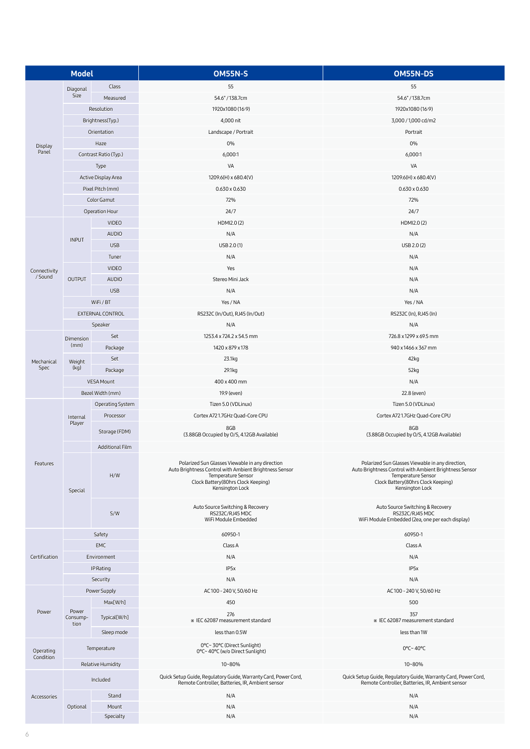| <b>Model</b>           |                           |                       | <b>OM55N-S</b>                                                                                                                                                                           | OM55N-DS                                                                                                                                                                                  |
|------------------------|---------------------------|-----------------------|------------------------------------------------------------------------------------------------------------------------------------------------------------------------------------------|-------------------------------------------------------------------------------------------------------------------------------------------------------------------------------------------|
|                        | Diagonal                  | Class                 | 55                                                                                                                                                                                       | 55                                                                                                                                                                                        |
| Display<br>Panel       | Size                      | Measured              | 54.6" / 138.7cm                                                                                                                                                                          | 54.6" / 138.7cm                                                                                                                                                                           |
|                        |                           | Resolution            | 1920x1080 (16:9)                                                                                                                                                                         | 1920x1080 (16:9)                                                                                                                                                                          |
|                        |                           | Brightness(Typ.)      | 4,000 nit                                                                                                                                                                                | 3,000 / 1,000 cd/m2                                                                                                                                                                       |
|                        |                           | Orientation           | Landscape / Portrait                                                                                                                                                                     | Portrait                                                                                                                                                                                  |
|                        |                           | Haze                  | 0%                                                                                                                                                                                       | 0%                                                                                                                                                                                        |
|                        |                           | Contrast Ratio (Typ.) | 6,000:1                                                                                                                                                                                  | 6,000:1                                                                                                                                                                                   |
|                        |                           | Type                  | VA                                                                                                                                                                                       | VA                                                                                                                                                                                        |
|                        |                           | Active Display Area   | 1209.6(H) x 680.4(V)                                                                                                                                                                     | 1209.6(H) x 680.4(V)                                                                                                                                                                      |
|                        |                           | Pixel Pitch (mm)      | $0.630 \times 0.630$                                                                                                                                                                     | $0.630 \times 0.630$                                                                                                                                                                      |
|                        |                           | Color Gamut           | 72%                                                                                                                                                                                      | 72%                                                                                                                                                                                       |
|                        |                           | Operation Hour        | 24/7                                                                                                                                                                                     | 24/7                                                                                                                                                                                      |
|                        |                           | <b>VIDEO</b>          | HDMI2.0(2)                                                                                                                                                                               | HDMI2.0(2)                                                                                                                                                                                |
|                        |                           | <b>AUDIO</b>          | N/A                                                                                                                                                                                      | N/A                                                                                                                                                                                       |
|                        | <b>INPUT</b>              | <b>USB</b>            | USB 2.0 (1)                                                                                                                                                                              | USB 2.0 (2)                                                                                                                                                                               |
|                        |                           | Tuner                 | N/A                                                                                                                                                                                      | N/A                                                                                                                                                                                       |
| Connectivity           |                           | <b>VIDEO</b>          | Yes                                                                                                                                                                                      | N/A                                                                                                                                                                                       |
| /Sound                 | <b>OUTPUT</b>             | <b>AUDIO</b>          | Stereo Mini Jack                                                                                                                                                                         | N/A                                                                                                                                                                                       |
|                        |                           | <b>USB</b>            | N/A                                                                                                                                                                                      | N/A                                                                                                                                                                                       |
|                        |                           | WiFi/BT               | Yes / NA                                                                                                                                                                                 | Yes / NA                                                                                                                                                                                  |
|                        |                           | EXTERNAL CONTROL      | RS232C (In/Out), RJ45 (In/Out)                                                                                                                                                           | RS232C (In), RJ45 (In)                                                                                                                                                                    |
|                        |                           | Speaker               | N/A                                                                                                                                                                                      | N/A                                                                                                                                                                                       |
|                        | Dimension                 | Set                   | 1253.4 x 724.2 x 54.5 mm                                                                                                                                                                 | 726.8 x 1299 x 69.5 mm                                                                                                                                                                    |
|                        | (mm)                      | Package               | 1420 x 879 x 178                                                                                                                                                                         | 940 x 1466 x 367 mm                                                                                                                                                                       |
| Mechanical             | Weight                    | Set                   | 23.1kg                                                                                                                                                                                   | 42kg                                                                                                                                                                                      |
| Spec                   | (kg)                      | Package               | 29.1kg                                                                                                                                                                                   | 52kg                                                                                                                                                                                      |
|                        |                           | <b>VESA Mount</b>     | 400 x 400 mm                                                                                                                                                                             | N/A                                                                                                                                                                                       |
|                        |                           | Bezel Width (mm)      | 19.9 (even)                                                                                                                                                                              | 22.8 (even)                                                                                                                                                                               |
|                        |                           | Operating System      | Tizen 5.0 (VDLinux)                                                                                                                                                                      | Tizen 5.0 (VDLinux)                                                                                                                                                                       |
|                        | Internal                  | Processor             | Cortex A721.7GHz Quad-Core CPU                                                                                                                                                           | Cortex A721.7GHz Quad-Core CPU                                                                                                                                                            |
|                        | Player                    | Storage (FDM)         | 8GB                                                                                                                                                                                      | 8GB                                                                                                                                                                                       |
|                        |                           |                       | (3.88GB Occupied by O/S, 4.12GB Available)                                                                                                                                               | (3.88GB Occupied by O/S, 4.12GB Available)                                                                                                                                                |
|                        |                           | Additional Film       |                                                                                                                                                                                          |                                                                                                                                                                                           |
| Features               | Special                   | H/W                   | Polarized Sun Glasses Viewable in any direction<br>Auto Brightness Control with Ambient Brightness Sensor<br>Temperature Sensor<br>Clock Battery(80hrs Clock Keeping)<br>Kensington Lock | Polarized Sun Glasses Viewable in any direction,<br>Auto Brightness Control with Ambient Brightness Sensor<br>Temperature Sensor<br>Clock Battery(80hrs Clock Keeping)<br>Kensington Lock |
|                        |                           | S/W                   | Auto Source Switching & Recovery<br>RS232C/RJ45 MDC<br>WiFi Module Embedded                                                                                                              | Auto Source Switching & Recovery<br>RS232C/RJ45 MDC<br>WiFi Module Embedded (2ea, one per each display)                                                                                   |
|                        |                           | Safety                | 60950-1                                                                                                                                                                                  | 60950-1                                                                                                                                                                                   |
|                        |                           | <b>EMC</b>            | Class A                                                                                                                                                                                  | Class A                                                                                                                                                                                   |
| Certification          |                           | Environment           | N/A                                                                                                                                                                                      | N/A                                                                                                                                                                                       |
|                        |                           | IP Rating             | IP <sub>5</sub> x                                                                                                                                                                        | IP <sub>5</sub> x                                                                                                                                                                         |
|                        |                           | Security              | N/A                                                                                                                                                                                      | N/A                                                                                                                                                                                       |
|                        |                           | Power Supply          | AC100 - 240 V, 50/60 Hz                                                                                                                                                                  | AC100 - 240 V, 50/60 Hz                                                                                                                                                                   |
|                        |                           | Max[W/h]              | 450                                                                                                                                                                                      | 500                                                                                                                                                                                       |
| Power                  | Power<br>Consump-<br>tion | Typical[W/h]          | 276<br>* IEC 62087 measurement standard                                                                                                                                                  | 357<br>* IEC 62087 measurement standard                                                                                                                                                   |
|                        |                           | Sleep mode            | less than 0.5W                                                                                                                                                                           | less than 1W                                                                                                                                                                              |
| Operating<br>Condition |                           | Temperature           | 0°C~30°C (Direct Sunlight)<br>0°C~40°C (w/o Direct Sunlight)                                                                                                                             | 0°C~40°C                                                                                                                                                                                  |
|                        |                           | Relative Humidity     | 10~80%                                                                                                                                                                                   | 10~80%                                                                                                                                                                                    |
| Accessories            |                           | Included              | Quick Setup Guide, Regulatory Guide, Warranty Card, Power Cord,<br>Remote Controller, Batteries, IR, Ambient sensor                                                                      | Quick Setup Guide, Regulatory Guide, Warranty Card, Power Cord,<br>Remote Controller, Batteries, IR, Ambient sensor                                                                       |
|                        |                           | Stand                 | N/A                                                                                                                                                                                      | N/A                                                                                                                                                                                       |
|                        | Optional                  | Mount                 | N/A                                                                                                                                                                                      | N/A                                                                                                                                                                                       |
|                        |                           | Specialty             | N/A                                                                                                                                                                                      | N/A                                                                                                                                                                                       |